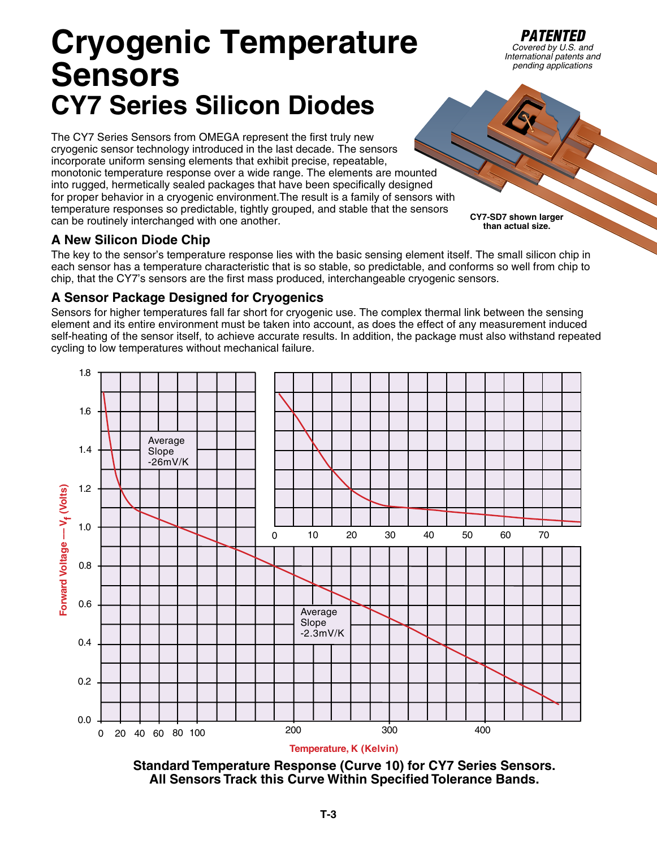# **Cryogenic Temperature Sensors CY7 Series Silicon Diodes**

The CY7 Series Sensors from OMEGA represent the first truly new cryogenic sensor technology introduced in the last decade. The sensors incorporate uniform sensing elements that exhibit precise, repeatable, monotonic temperature response over a wide range. The elements are mounted into rugged, hermetically sealed packages that have been specifically designed for proper behavior in a cryogenic environment.The result is a family of sensors with temperature responses so predictable, tightly grouped, and stable that the sensors can be routinely interchanged with one another.

### **A New Silicon Diode Chip**

The key to the sensor's temperature response lies with the basic sensing element itself. The small silicon chip in each sensor has a temperature characteristic that is so stable, so predictable, and conforms so well from chip to chip, that the CY7's sensors are the first mass produced, interchangeable cryogenic sensors.

### **A Sensor Package Designed for Cryogenics**

Sensors for higher temperatures fall far short for cryogenic use. The complex thermal link between the sensing element and its entire environment must be taken into account, as does the effect of any measurement induced self-heating of the sensor itself, to achieve accurate results. In addition, the package must also withstand repeated cycling to low temperatures without mechanical failure.



**Standard Temperature Response (Curve 10) for CY7 Series Sensors. All Sensors Track this Curve Within Specified Tolerance Bands.**

**T-3**

**CY7-SD7 shown larger than actual size.** 

*PATENTED*<br>*Covered by U.S. and International patents and pending applications*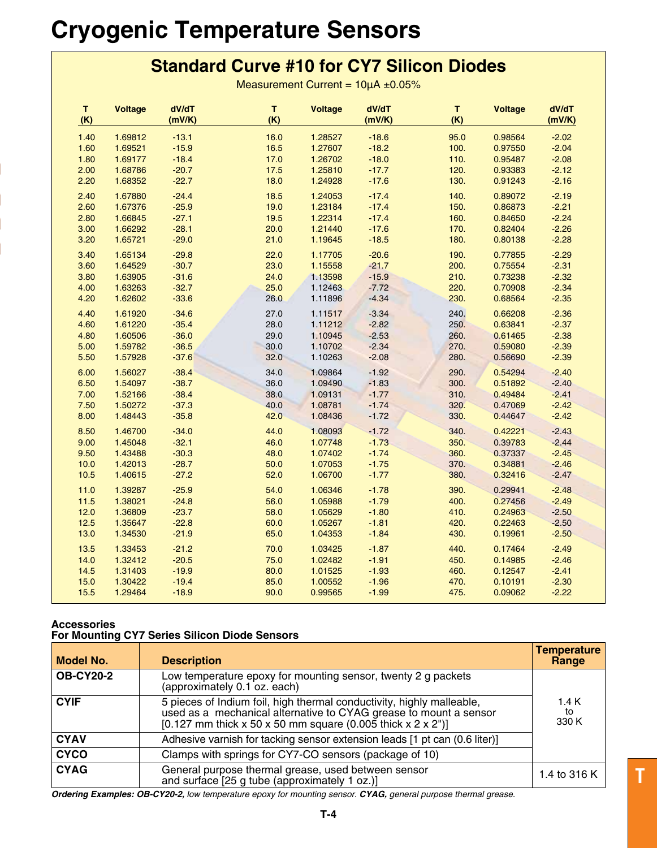# **Cryogenic Temperature Sensors**

## **Standard Curve #10 for CY7 Silicon Diodes**

Measurement Current =  $10\mu A \pm 0.05\%$ 

| T.<br>(K) | <b>Voltage</b> | dV/dT<br>(mV/K) | T.<br>(K) | <b>Voltage</b> | dV/dT<br>(mV/K) | T<br>(K) | <b>Voltage</b> | dV/dT<br>(mV/K) |
|-----------|----------------|-----------------|-----------|----------------|-----------------|----------|----------------|-----------------|
| 1.40      | 1.69812        | $-13.1$         | 16.0      | 1.28527        | $-18.6$         | 95.0     | 0.98564        | $-2.02$         |
| 1.60      | 1.69521        | $-15.9$         | 16.5      | 1.27607        | $-18.2$         | 100.     | 0.97550        | $-2.04$         |
| 1.80      | 1.69177        | $-18.4$         | 17.0      | 1.26702        | $-18.0$         | 110.     | 0.95487        | $-2.08$         |
| 2.00      | 1.68786        | $-20.7$         | 17.5      | 1.25810        | $-17.7$         | 120.     | 0.93383        | $-2.12$         |
| 2.20      | 1.68352        | $-22.7$         | 18.0      | 1.24928        | $-17.6$         | 130.     | 0.91243        | $-2.16$         |
| 2.40      | 1.67880        | $-24.4$         | 18.5      | 1.24053        | $-17.4$         | 140.     | 0.89072        | $-2.19$         |
| 2.60      | 1.67376        | $-25.9$         | 19.0      | 1.23184        | $-17.4$         | 150.     | 0.86873        | $-2.21$         |
| 2.80      | 1.66845        | $-27.1$         | 19.5      | 1.22314        | $-17.4$         | 160.     | 0.84650        | $-2.24$         |
| 3.00      | 1.66292        | $-28.1$         | 20.0      | 1.21440        | $-17.6$         | 170.     | 0.82404        | $-2.26$         |
| 3.20      | 1.65721        | $-29.0$         | 21.0      | 1.19645        | $-18.5$         | 180.     | 0.80138        | $-2.28$         |
| 3.40      | 1.65134        | $-29.8$         | 22.0      | 1.17705        | $-20.6$         | 190.     | 0.77855        | $-2.29$         |
| 3.60      | 1.64529        | $-30.7$         | 23.0      | 1.15558        | $-21.7$         | 200.     | 0.75554        | $-2.31$         |
| 3.80      | 1.63905        | $-31.6$         | 24.0      | 1.13598        | $-15.9$         | 210.     | 0.73238        | $-2.32$         |
| 4.00      | 1.63263        | $-32.7$         | 25.0      | 1.12463        | $-7.72$         | 220.     | 0.70908        | $-2.34$         |
| 4.20      | 1.62602        | $-33.6$         | 26.0      | 1.11896        | $-4.34$         | 230.     | 0.68564        | $-2.35$         |
| 4.40      | 1.61920        | $-34.6$         | 27.0      | 1.11517        | $-3.34$         | 240.     | 0.66208        | $-2.36$         |
| 4.60      | 1.61220        | $-35.4$         | 28.0      | 1.11212        | $-2.82$         | 250.     | 0.63841        | $-2.37$         |
| 4.80      | 1.60506        | $-36.0$         | 29.0      | 1.10945        | $-2.53$         | 260.     | 0.61465        | $-2.38$         |
| 5.00      | 1.59782        | $-36.5$         | 30.0      | 1.10702        | $-2.34$         | 270.     | 0.59080        | $-2.39$         |
| 5.50      | 1.57928        | $-37.6$         | 32.0      | 1.10263        | $-2.08$         | 280.     | 0.56690        | $-2.39$         |
| 6.00      | 1.56027        | $-38.4$         | 34.0      | 1.09864        | $-1.92$         | 290.     | 0.54294        | $-2.40$         |
| 6.50      | 1.54097        | $-38.7$         | 36.0      | 1.09490        | $-1.83$         | 300.     | 0.51892        | $-2.40$         |
| 7.00      | 1.52166        | $-38.4$         | 38.0      | 1.09131        | $-1.77$         | 310.     | 0.49484        | $-2.41$         |
| 7.50      | 1.50272        | $-37.3$         | 40.0      | 1.08781        | $-1.74$         | 320.     | 0.47069        | $-2.42$         |
| 8.00      | 1.48443        | $-35.8$         | 42.0      | 1.08436        | $-1.72$         | 330.     | 0.44647        | $-2.42$         |
| 8.50      | 1.46700        | $-34.0$         | 44.0      | 1.08093        | $-1.72$         | 340.     | 0.42221        | $-2.43$         |
| 9.00      | 1.45048        | $-32.1$         | 46.0      | 1.07748        | $-1.73$         | 350.     | 0.39783        | $-2.44$         |
| 9.50      | 1.43488        | $-30.3$         | 48.0      | 1.07402        | $-1.74$         | 360.     | 0.37337        | $-2.45$         |
| 10.0      | 1.42013        | $-28.7$         | 50.0      | 1.07053        | $-1.75$         | 370.     | 0.34881        | $-2.46$         |
| 10.5      | 1.40615        | $-27.2$         | 52.0      | 1.06700        | $-1.77$         | 380.     | 0.32416        | $-2.47$         |
| 11.0      | 1.39287        | $-25.9$         | 54.0      | 1.06346        | $-1.78$         | 390.     | 0.29941        | $-2.48$         |
| 11.5      | 1.38021        | $-24.8$         | 56.0      | 1.05988        | $-1.79$         | 400.     | 0.27456        | $-2.49$         |
| 12.0      | 1.36809        | $-23.7$         | 58.0      | 1.05629        | $-1.80$         | 410.     | 0.24963        | $-2.50$         |
| 12.5      | 1.35647        | $-22.8$         | 60.0      | 1.05267        | $-1.81$         | 420.     | 0.22463        | $-2.50$         |
| 13.0      | 1.34530        | $-21.9$         | 65.0      | 1.04353        | $-1.84$         | 430.     | 0.19961        | $-2.50$         |
| 13.5      | 1.33453        | $-21.2$         | 70.0      | 1.03425        | $-1.87$         | 440.     | 0.17464        | $-2.49$         |
| 14.0      | 1.32412        | $-20.5$         | 75.0      | 1.02482        | $-1.91$         | 450.     | 0.14985        | $-2.46$         |
| 14.5      | 1.31403        | $-19.9$         | 80.0      | 1.01525        | $-1.93$         | 460.     | 0.12547        | $-2.41$         |
| 15.0      | 1.30422        | $-19.4$         | 85.0      | 1.00552        | $-1.96$         | 470.     | 0.10191        | $-2.30$         |
| 15.5      | 1.29464        | $-18.9$         | 90.0      | 0.99565        | $-1.99$         | 475.     | 0.09062        | $-2.22$         |

#### **Accessories For Mounting CY7 Series Silicon Diode Sensors**

| Model No.        | <b>Description</b>                                                                                                                                                                                          | <b>Temperature</b><br>Range |
|------------------|-------------------------------------------------------------------------------------------------------------------------------------------------------------------------------------------------------------|-----------------------------|
| <b>OB-CY20-2</b> | Low temperature epoxy for mounting sensor, twenty 2 g packets<br>(approximately 0.1 oz. each)                                                                                                               |                             |
| <b>CYIF</b>      | 5 pieces of Indium foil, high thermal conductivity, highly malleable,<br>used as a mechanical alternative to CYAG grease to mount a sensor<br>[0.127 mm thick x 50 x 50 mm square $(0.005$ thick x 2 x 2")] | 1.4 K<br>to<br>330 K        |
| <b>CYAV</b>      | Adhesive varnish for tacking sensor extension leads [1 pt can (0.6 liter)]                                                                                                                                  |                             |
| <b>CYCO</b>      | Clamps with springs for CY7-CO sensors (package of 10)                                                                                                                                                      |                             |
| <b>CYAG</b>      | General purpose thermal grease, used between sensor<br>and surface [25 g tube (approximately 1 oz.)]                                                                                                        | 1.4 to 316 K                |

*Ordering Examples: OB-CY20-2, low temperature epoxy for mounting sensor. CYAG, general purpose thermal grease.*

**T**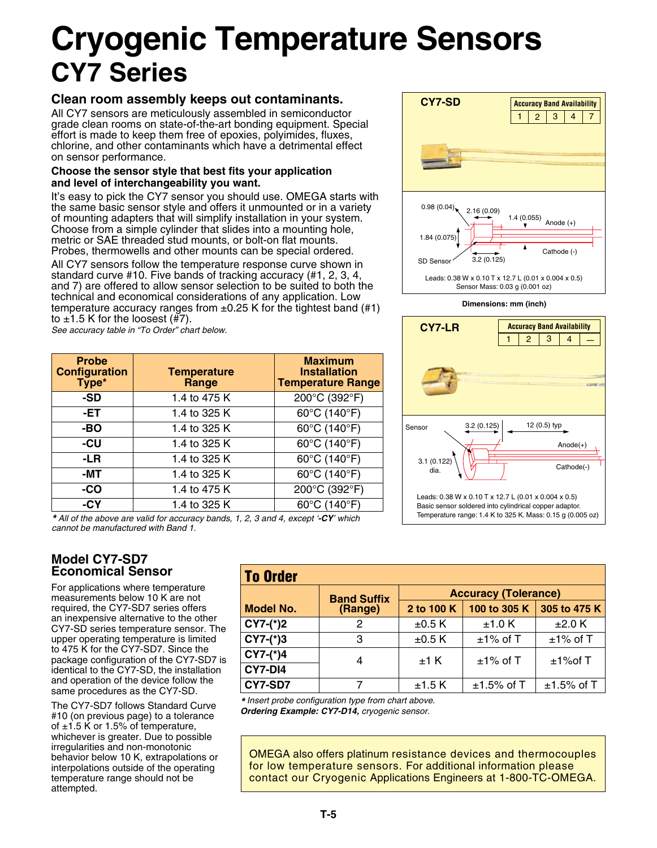# **Cryogenic Temperature Sensors CY7 Series**

### **Clean room assembly keeps out contaminants.**

All CY7 sensors are meticulously assembled in semiconductor grade clean rooms on state-of-the-art bonding equipment. Special effort is made to keep them free of epoxies, polyimides, fluxes, chlorine, and other contaminants which have a detrimental effect on sensor performance.

#### **Choose the sensor style that best fits your application and level of interchangeability you want.**

It's easy to pick the CY7 sensor you should use. OMEGA starts with the same basic sensor style and offers it unmounted or in a variety of mounting adapters that will simplify installation in your system. Choose from a simple cylinder that slides into a mounting hole, metric or SAE threaded stud mounts, or bolt-on flat mounts. Probes, thermowells and other mounts can be special ordered.

All CY7 sensors follow the temperature response curve shown in standard curve #10. Five bands of tracking accuracy (#1, 2, 3, 4, and 7) are offered to allow sensor selection to be suited to both the technical and economical considerations of any application. Low temperature accuracy ranges from  $\pm 0.25$  K for the tightest band (#1) to  $\pm$ 1.5 K for the loosest (#7).

*See accuracy table in "To Order" chart below.*

| <b>Probe</b><br><b>Configuration</b><br>Type* | <b>Temperature</b><br>Range | <b>Maximum</b><br><b>Installation</b><br><b>Temperature Range</b> |
|-----------------------------------------------|-----------------------------|-------------------------------------------------------------------|
| -SD                                           | 1.4 to 475 K                | 200°C (392°F)                                                     |
| -ET                                           | 1.4 to 325 K                | 60°C (140°F)                                                      |
| -BO                                           | 1.4 to 325 K                | 60°C (140°F)                                                      |
| -CU                                           | 1.4 to 325 K                | $\overline{60^{\circ}}$ C (140°F)                                 |
| -LR                                           | 1.4 to 325 K                | 60°C (140°F)                                                      |
| -MT                                           | 1.4 to 325 K                | $\overline{60^{\circ}C(140^{\circ}F)}$                            |
| -CO                                           | 1.4 to 475 K                | 200°C (392°F)                                                     |
| $-CY$                                         | 1.4 to 325 K                | 60°C (140°F)                                                      |



### **Model CY7-SD7 Economical Sensor**

For applications where temperature measurements below 10 K are not required, the CY7-SD7 series offers an inexpensive alternative to the other CY7-SD series temperature sensor. The upper operating temperature is limited to 475 K for the CY7-SD7. Since the package configuration of the CY7-SD7 is identical to the CY7-SD, the installation and operation of the device follow the same procedures as the CY7-SD.

The CY7-SD7 follows Standard Curve #10 (on previous page) to a tolerance of  $\pm$ 1.5 K or 1.5% of temperature, whichever is greater. Due to possible irregularities and non-monotonic behavior below 10 K, extrapolations or interpolations outside of the operating temperature range should not be attempted.

|         | <b>To Order</b>             |               |                                                                                         |  |  |  |  |  |  |
|---------|-----------------------------|---------------|-----------------------------------------------------------------------------------------|--|--|--|--|--|--|
|         | <b>Accuracy (Tolerance)</b> |               |                                                                                         |  |  |  |  |  |  |
| (Range) | 2 to 100 K                  | 100 to 305 K  | 305 to 475 K                                                                            |  |  |  |  |  |  |
| 2       | $\pm 0.5$ K                 | $±1.0$ K      | ±2.0 K                                                                                  |  |  |  |  |  |  |
| 3       | $±0.5$ K                    | $±1\%$ of T   | $±1\%$ of T                                                                             |  |  |  |  |  |  |
|         |                             |               | $±1\%$ of T                                                                             |  |  |  |  |  |  |
|         |                             |               |                                                                                         |  |  |  |  |  |  |
| 7       | ±1.5K                       | $±1.5\%$ of T | $±1.5\%$ of T                                                                           |  |  |  |  |  |  |
|         | <b>Band Suffix</b><br>4     | $±1$ K        | $±1\%$ of T<br>de la conducta de la conception notice de la conducta de cada de caso de |  |  |  |  |  |  |

*\* Insert probe configuration type from chart above. Ordering Example: CY7-D14, cryogenic sensor.*

OMEGA also offers platinum resistance devices and thermocouples for low temperature sensors. For additional information please contact our Cryogenic Applications Engineers at 1-800-TC-OMEGA.



**Dimensions: mm (inch)**